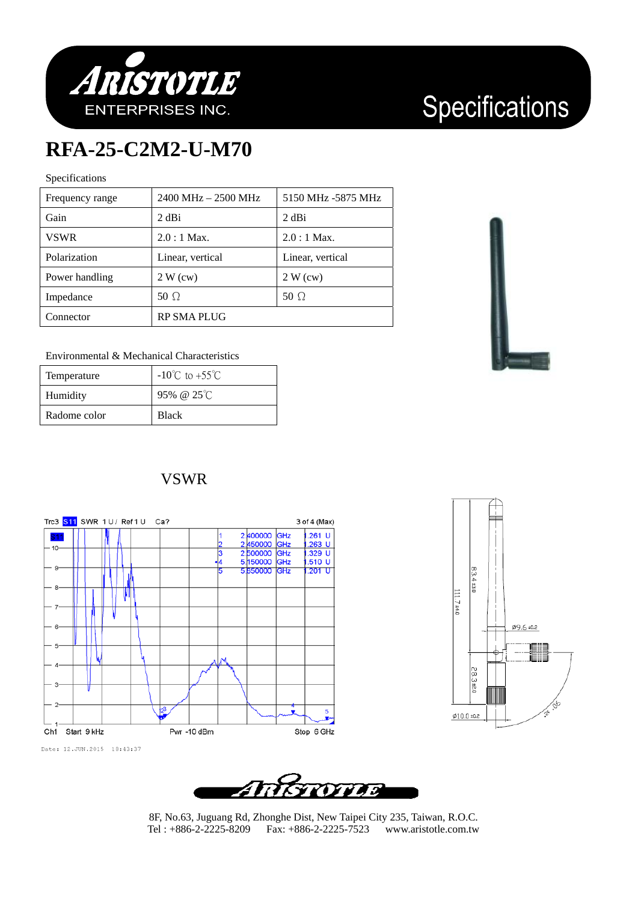

# Specifications

## **RFA-25-C2M2-U-M70**

### Specifications

| Frequency range | 2400 MHz - 2500 MHz | 5150 MHz -5875 MHz |
|-----------------|---------------------|--------------------|
| Gain            | 2 dBi               | 2 dBi              |
| <b>VSWR</b>     | $2.0:1$ Max.        | $2.0:1$ Max.       |
| Polarization    | Linear, vertical    | Linear, vertical   |
| Power handling  | 2 W (cw)            | 2 W (cw)           |
| Impedance       | 50 $\Omega$         | 50 $\Omega$        |
| Connector       | <b>RP SMA PLUG</b>  |                    |



#### Environmental & Mechanical Characteristics

| Temperature  | $-10^{\circ}$ C to $+55^{\circ}$ C |
|--------------|------------------------------------|
| Humidity     | 95% @ $25^{\circ}$ C               |
| Radome color | <b>Black</b>                       |

### VSWR







8F, No.63, Juguang Rd, Zhonghe Dist, New Taipei City 235, Taiwan, R.O.C. Tel : +886-2-2225-8209 Fax: +886-2-2225-7523 www.aristotle.com.tw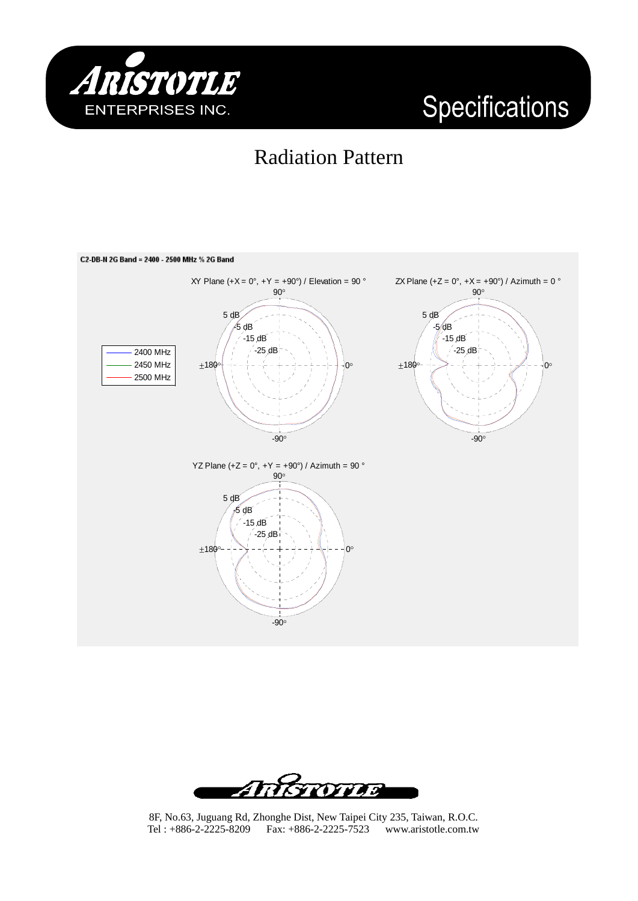

# Specifications

## Radiation Pattern





8F, No.63, Juguang Rd, Zhonghe Dist, New Taipei City 235, Taiwan, R.O.C. Tel : +886-2-2225-8209 Fax: +886-2-2225-7523 www.aristotle.com.tw